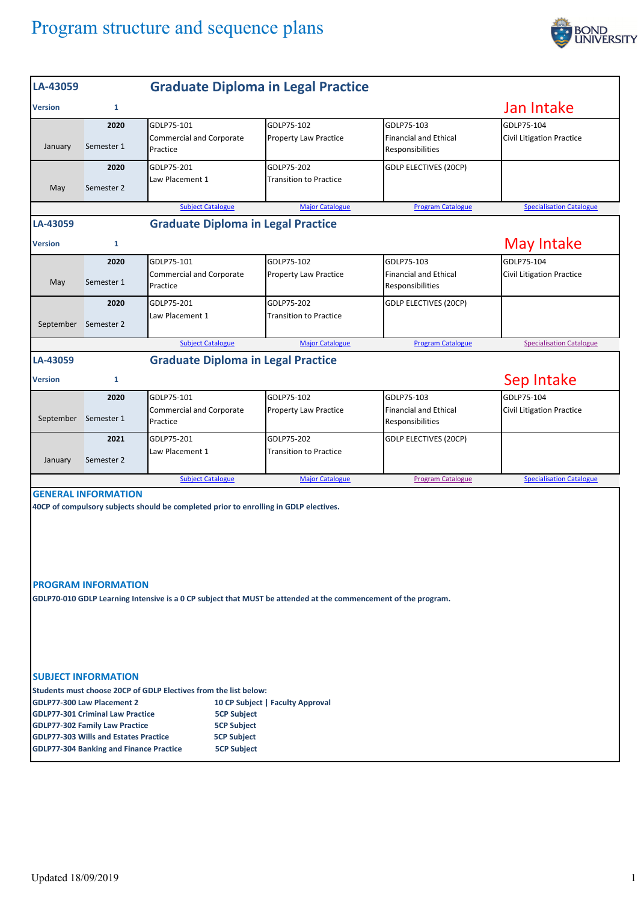## Program structure and sequence plans



| LA-43059                                                                                                                                                                                                                                                                   |                                                                 |                                                                                                                                                                                                         | <b>Graduate Diploma in Legal Practice</b>   |                                                                |                                                |
|----------------------------------------------------------------------------------------------------------------------------------------------------------------------------------------------------------------------------------------------------------------------------|-----------------------------------------------------------------|---------------------------------------------------------------------------------------------------------------------------------------------------------------------------------------------------------|---------------------------------------------|----------------------------------------------------------------|------------------------------------------------|
| <b>Version</b>                                                                                                                                                                                                                                                             | 1                                                               |                                                                                                                                                                                                         |                                             |                                                                | Jan Intake                                     |
| January                                                                                                                                                                                                                                                                    | 2020<br>Semester 1                                              | GDLP75-101<br><b>Commercial and Corporate</b><br>Practice                                                                                                                                               | GDLP75-102<br><b>Property Law Practice</b>  | GDLP75-103<br><b>Financial and Ethical</b><br>Responsibilities | GDLP75-104<br><b>Civil Litigation Practice</b> |
| May                                                                                                                                                                                                                                                                        | 2020<br>Semester 2                                              | GDLP75-201<br>Law Placement 1                                                                                                                                                                           | GDLP75-202<br><b>Transition to Practice</b> | <b>GDLP ELECTIVES (20CP)</b>                                   |                                                |
|                                                                                                                                                                                                                                                                            |                                                                 | <b>Subject Catalogue</b>                                                                                                                                                                                | <b>Major Catalogue</b>                      | <b>Program Catalogue</b>                                       | <b>Specialisation Catalogue</b>                |
| LA-43059                                                                                                                                                                                                                                                                   |                                                                 | <b>Graduate Diploma in Legal Practice</b>                                                                                                                                                               |                                             |                                                                |                                                |
| <b>Version</b>                                                                                                                                                                                                                                                             | $\mathbf{1}$                                                    |                                                                                                                                                                                                         |                                             |                                                                | May Intake                                     |
| May                                                                                                                                                                                                                                                                        | 2020<br>Semester 1                                              | GDLP75-101<br><b>Commercial and Corporate</b><br>Practice                                                                                                                                               | GDLP75-102<br>Property Law Practice         | GDLP75-103<br><b>Financial and Ethical</b><br>Responsibilities | GDLP75-104<br><b>Civil Litigation Practice</b> |
| September Semester 2                                                                                                                                                                                                                                                       | 2020                                                            | GDLP75-201<br>Law Placement 1                                                                                                                                                                           | GDLP75-202<br><b>Transition to Practice</b> | <b>GDLP ELECTIVES (20CP)</b>                                   |                                                |
|                                                                                                                                                                                                                                                                            |                                                                 | <b>Subject Catalogue</b>                                                                                                                                                                                | <b>Major Catalogue</b>                      | <b>Program Catalogue</b>                                       | <b>Specialisation Catalogue</b>                |
| LA-43059                                                                                                                                                                                                                                                                   |                                                                 | <b>Graduate Diploma in Legal Practice</b>                                                                                                                                                               |                                             |                                                                |                                                |
| <b>Version</b>                                                                                                                                                                                                                                                             | 1                                                               |                                                                                                                                                                                                         |                                             |                                                                | Sep Intake                                     |
| September                                                                                                                                                                                                                                                                  | 2020<br>Semester 1                                              | GDLP75-101<br><b>Commercial and Corporate</b><br>Practice                                                                                                                                               | GDLP75-102<br>Property Law Practice         | GDLP75-103<br><b>Financial and Ethical</b><br>Responsibilities | GDLP75-104<br><b>Civil Litigation Practice</b> |
| January                                                                                                                                                                                                                                                                    | 2021<br>Semester 2                                              | GDLP75-201<br>Law Placement 1                                                                                                                                                                           | GDLP75-202<br><b>Transition to Practice</b> | <b>GDLP ELECTIVES (20CP)</b>                                   |                                                |
|                                                                                                                                                                                                                                                                            |                                                                 | <b>Subject Catalogue</b>                                                                                                                                                                                | <b>Major Catalogue</b>                      | <b>Program Catalogue</b>                                       | <b>Specialisation Catalogue</b>                |
|                                                                                                                                                                                                                                                                            | <b>GENERAL INFORMATION</b><br><b>PROGRAM INFORMATION</b>        | 40CP of compulsory subjects should be completed prior to enrolling in GDLP electives.<br>GDLP70-010 GDLP Learning Intensive is a 0 CP subject that MUST be attended at the commencement of the program. |                                             |                                                                |                                                |
|                                                                                                                                                                                                                                                                            | <b>SUBJECT INFORMATION</b><br><b>GDLP77-300 Law Placement 2</b> | Students must choose 20CP of GDLP Electives from the list below:                                                                                                                                        | 10 CP Subject   Faculty Approval            |                                                                |                                                |
| <b>GDLP77-301 Criminal Law Practice</b><br><b>5CP Subject</b><br><b>5CP Subject</b><br><b>GDLP77-302 Family Law Practice</b><br><b>GDLP77-303 Wills and Estates Practice</b><br><b>5CP Subject</b><br><b>GDLP77-304 Banking and Finance Practice</b><br><b>5CP Subject</b> |                                                                 |                                                                                                                                                                                                         |                                             |                                                                |                                                |